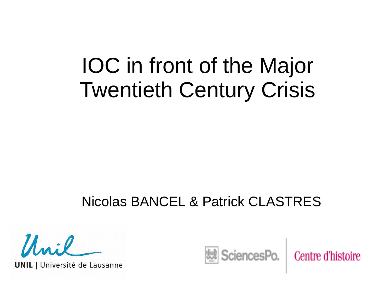## IOC in front of the Major Twentieth Century Crisis

#### Nicolas BANCEL & Patrick CLASTRES

 $\mu_{ni}$ 

**UNIL** | Université de Lausanne

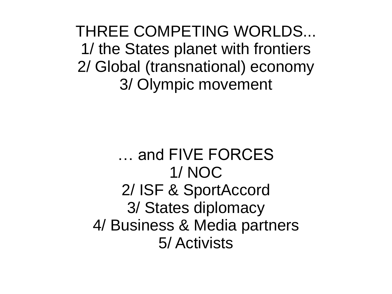THREE COMPETING WORLDS... 1/ the States planet with frontiers 2/ Global (transnational) economy 3/ Olympic movement

… and FIVE FORCES 1/ NOC 2/ ISF & SportAccord 3/ States diplomacy 4/ Business & Media partners 5/ Activists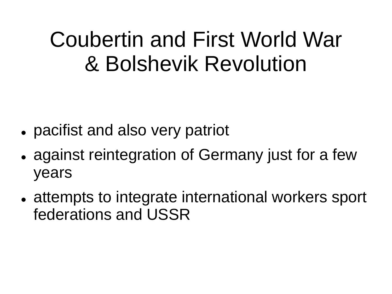# Coubertin and First World War & Bolshevik Revolution

- pacifist and also very patriot
- against reintegration of Germany just for a few years
- attempts to integrate international workers sport federations and USSR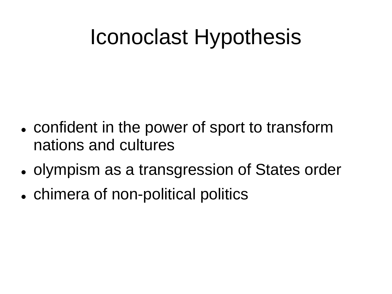# Iconoclast Hypothesis

- confident in the power of sport to transform nations and cultures
- olympism as a transgression of States order
- chimera of non-political politics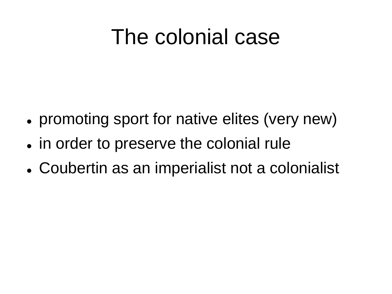# The colonial case

- promoting sport for native elites (very new)
- in order to preserve the colonial rule
- Coubertin as an imperialist not a colonialist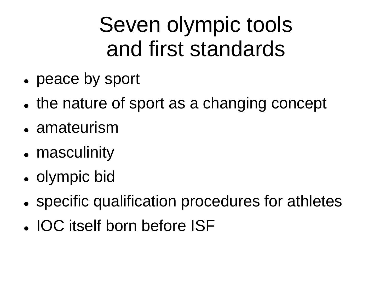# Seven olympic tools and first standards

- peace by sport
- the nature of sport as a changing concept
- amateurism
- masculinity
- olympic bid
- specific qualification procedures for athletes
- IOC itself born before ISF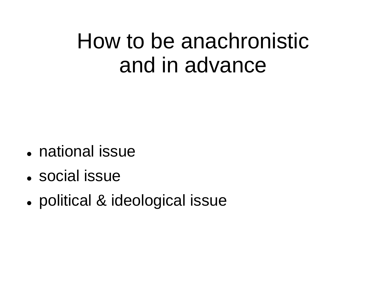### How to be anachronistic and in advance

- national issue
- social issue
- political & ideological issue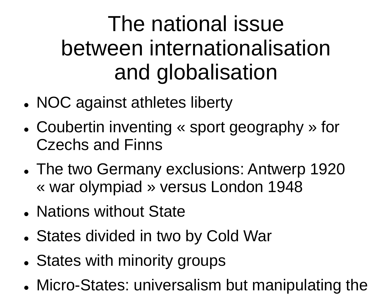# The national issue between internationalisation and globalisation

- NOC against athletes liberty
- Coubertin inventing « sport geography » for Czechs and Finns
- The two Germany exclusions: Antwerp 1920 « war olympiad » versus London 1948
- Nations without State
- States divided in two by Cold War
- States with minority groups
- Micro-States: universalism but manipulating the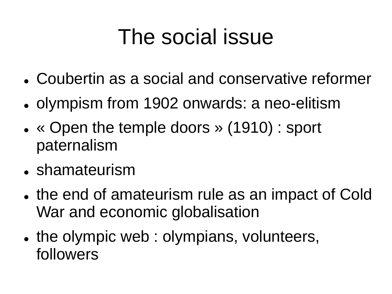# The social issue

- Coubertin as a social and conservative reformer
- olympism from 1902 onwards: a neo-elitism
- « Open the temple doors » (1910) : sport paternalism
- shamateurism
- the end of amateurism rule as an impact of Cold War and economic globalisation
- the olympic web : olympians, volunteers, followers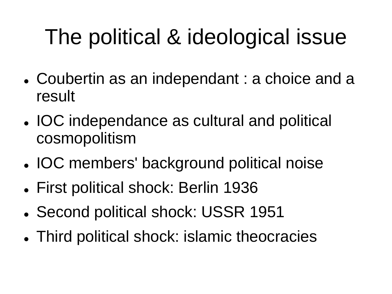# The political & ideological issue

- Coubertin as an independant : a choice and a result
- IOC independance as cultural and political cosmopolitism
- IOC members' background political noise
- First political shock: Berlin 1936
- Second political shock: USSR 1951
- Third political shock: islamic theocracies